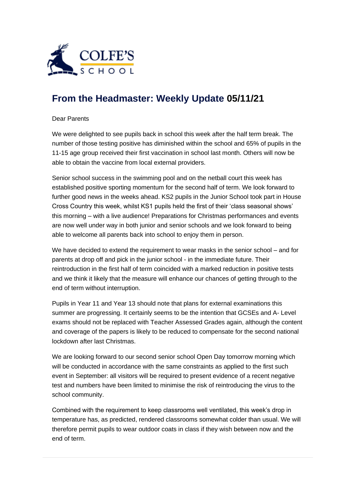

## **[From the Headmaster: Weekly Update](https://urlsand.esvalabs.com/?u=https%3A%2F%2Fschoolpostcdn.blob.core.windows.net%2Fpublic%2F~%2Femail-test-message.html&e=f4e25f66&h=847ca343&f=y&p=y) 05/11/21**

## Dear Parents

We were delighted to see pupils back in school this week after the half term break. The number of those testing positive has diminished within the school and 65% of pupils in the 11-15 age group received their first vaccination in school last month. Others will now be able to obtain the vaccine from local external providers.

Senior school success in the swimming pool and on the netball court this week has established positive sporting momentum for the second half of term. We look forward to further good news in the weeks ahead. KS2 pupils in the Junior School took part in House Cross Country this week, whilst KS1 pupils held the first of their 'class seasonal shows' this morning – with a live audience! Preparations for Christmas performances and events are now well under way in both junior and senior schools and we look forward to being able to welcome all parents back into school to enjoy them in person.

We have decided to extend the requirement to wear masks in the senior school – and for parents at drop off and pick in the junior school - in the immediate future. Their reintroduction in the first half of term coincided with a marked reduction in positive tests and we think it likely that the measure will enhance our chances of getting through to the end of term without interruption.

Pupils in Year 11 and Year 13 should note that plans for external examinations this summer are progressing. It certainly seems to be the intention that GCSEs and A- Level exams should not be replaced with Teacher Assessed Grades again, although the content and coverage of the papers is likely to be reduced to compensate for the second national lockdown after last Christmas.

We are looking forward to our second senior school Open Day tomorrow morning which will be conducted in accordance with the same constraints as applied to the first such event in September: all visitors will be required to present evidence of a recent negative test and numbers have been limited to minimise the risk of reintroducing the virus to the school community.

Combined with the requirement to keep classrooms well ventilated, this week's drop in temperature has, as predicted, rendered classrooms somewhat colder than usual. We will therefore permit pupils to wear outdoor coats in class if they wish between now and the end of term.